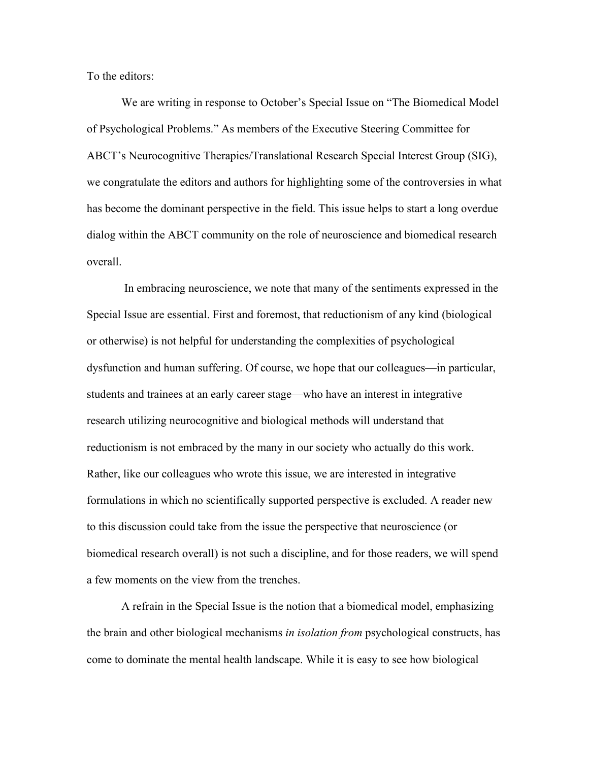To the editors:

We are writing in response to October's Special Issue on "The Biomedical Model of Psychological Problems." As members of the Executive Steering Committee for ABCT's Neurocognitive Therapies/Translational Research Special Interest Group (SIG), we congratulate the editors and authors for highlighting some of the controversies in what has become the dominant perspective in the field. This issue helps to start a long overdue dialog within the ABCT community on the role of neuroscience and biomedical research overall.

In embracing neuroscience, we note that many of the sentiments expressed in the Special Issue are essential. First and foremost, that reductionism of any kind (biological or otherwise) is not helpful for understanding the complexities of psychological dysfunction and human suffering. Of course, we hope that our colleagues—in particular, students and trainees at an early career stage—who have an interest in integrative research utilizing neurocognitive and biological methods will understand that reductionism is not embraced by the many in our society who actually do this work. Rather, like our colleagues who wrote this issue, we are interested in integrative formulations in which no scientifically supported perspective is excluded. A reader new to this discussion could take from the issue the perspective that neuroscience (or biomedical research overall) is not such a discipline, and for those readers, we will spend a few moments on the view from the trenches.

A refrain in the Special Issue is the notion that a biomedical model, emphasizing the brain and other biological mechanisms *in isolation from* psychological constructs, has come to dominate the mental health landscape. While it is easy to see how biological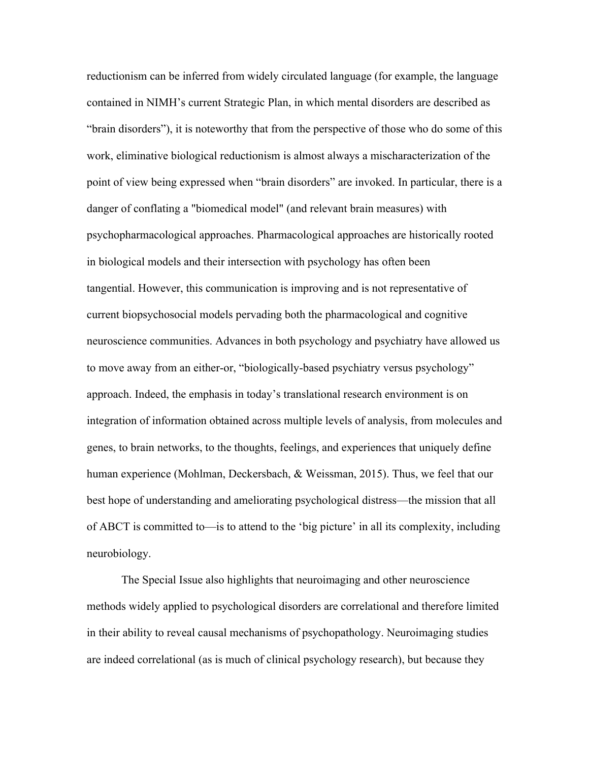reductionism can be inferred from widely circulated language (for example, the language contained in NIMH's current Strategic Plan, in which mental disorders are described as "brain disorders"), it is noteworthy that from the perspective of those who do some of this work, eliminative biological reductionism is almost always a mischaracterization of the point of view being expressed when "brain disorders" are invoked. In particular, there is a danger of conflating a "biomedical model" (and relevant brain measures) with psychopharmacological approaches. Pharmacological approaches are historically rooted in biological models and their intersection with psychology has often been tangential. However, this communication is improving and is not representative of current biopsychosocial models pervading both the pharmacological and cognitive neuroscience communities. Advances in both psychology and psychiatry have allowed us to move away from an either-or, "biologically-based psychiatry versus psychology" approach. Indeed, the emphasis in today's translational research environment is on integration of information obtained across multiple levels of analysis, from molecules and genes, to brain networks, to the thoughts, feelings, and experiences that uniquely define human experience (Mohlman, Deckersbach, & Weissman, 2015). Thus, we feel that our best hope of understanding and ameliorating psychological distress—the mission that all of ABCT is committed to—is to attend to the 'big picture' in all its complexity, including neurobiology.

The Special Issue also highlights that neuroimaging and other neuroscience methods widely applied to psychological disorders are correlational and therefore limited in their ability to reveal causal mechanisms of psychopathology. Neuroimaging studies are indeed correlational (as is much of clinical psychology research), but because they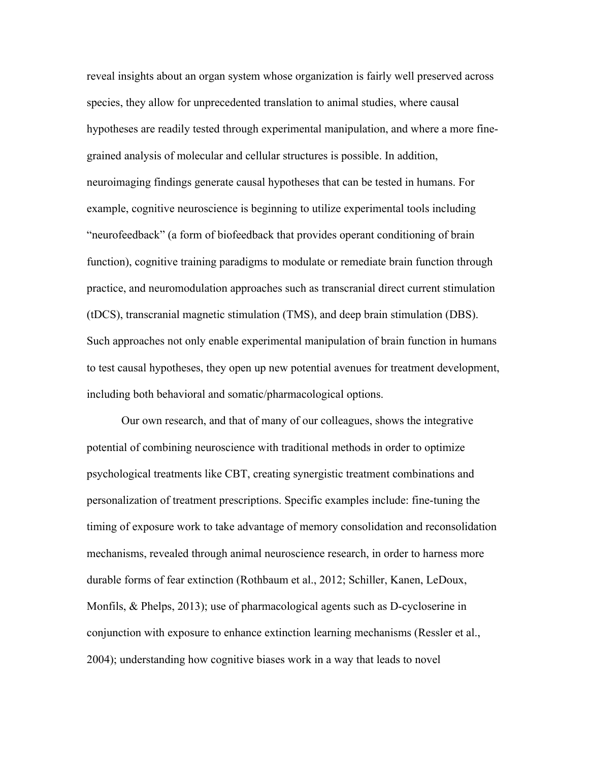reveal insights about an organ system whose organization is fairly well preserved across species, they allow for unprecedented translation to animal studies, where causal hypotheses are readily tested through experimental manipulation, and where a more finegrained analysis of molecular and cellular structures is possible. In addition, neuroimaging findings generate causal hypotheses that can be tested in humans. For example, cognitive neuroscience is beginning to utilize experimental tools including "neurofeedback" (a form of biofeedback that provides operant conditioning of brain function), cognitive training paradigms to modulate or remediate brain function through practice, and neuromodulation approaches such as transcranial direct current stimulation (tDCS), transcranial magnetic stimulation (TMS), and deep brain stimulation (DBS). Such approaches not only enable experimental manipulation of brain function in humans to test causal hypotheses, they open up new potential avenues for treatment development, including both behavioral and somatic/pharmacological options.

Our own research, and that of many of our colleagues, shows the integrative potential of combining neuroscience with traditional methods in order to optimize psychological treatments like CBT, creating synergistic treatment combinations and personalization of treatment prescriptions. Specific examples include: fine-tuning the timing of exposure work to take advantage of memory consolidation and reconsolidation mechanisms, revealed through animal neuroscience research, in order to harness more durable forms of fear extinction (Rothbaum et al., 2012; Schiller, Kanen, LeDoux, Monfils, & Phelps, 2013); use of pharmacological agents such as D-cycloserine in conjunction with exposure to enhance extinction learning mechanisms (Ressler et al., 2004); understanding how cognitive biases work in a way that leads to novel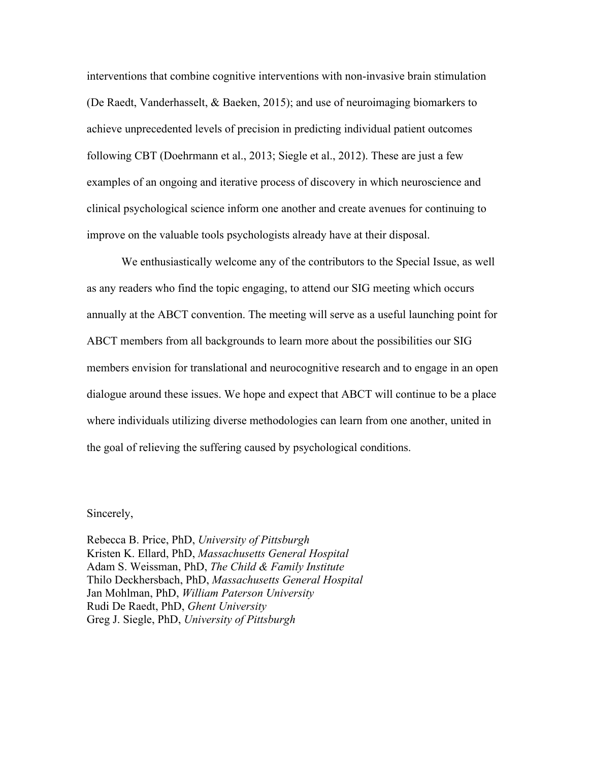interventions that combine cognitive interventions with non-invasive brain stimulation (De Raedt, Vanderhasselt, & Baeken, 2015); and use of neuroimaging biomarkers to achieve unprecedented levels of precision in predicting individual patient outcomes following CBT (Doehrmann et al., 2013; Siegle et al., 2012). These are just a few examples of an ongoing and iterative process of discovery in which neuroscience and clinical psychological science inform one another and create avenues for continuing to improve on the valuable tools psychologists already have at their disposal.

We enthusiastically welcome any of the contributors to the Special Issue, as well as any readers who find the topic engaging, to attend our SIG meeting which occurs annually at the ABCT convention. The meeting will serve as a useful launching point for ABCT members from all backgrounds to learn more about the possibilities our SIG members envision for translational and neurocognitive research and to engage in an open dialogue around these issues. We hope and expect that ABCT will continue to be a place where individuals utilizing diverse methodologies can learn from one another, united in the goal of relieving the suffering caused by psychological conditions.

## Sincerely,

Rebecca B. Price, PhD, *University of Pittsburgh* Kristen K. Ellard, PhD, *Massachusetts General Hospital* Adam S. Weissman, PhD, *The Child & Family Institute* Thilo Deckhersbach, PhD, *Massachusetts General Hospital* Jan Mohlman, PhD, *William Paterson University* Rudi De Raedt, PhD, *Ghent University* Greg J. Siegle, PhD, *University of Pittsburgh*